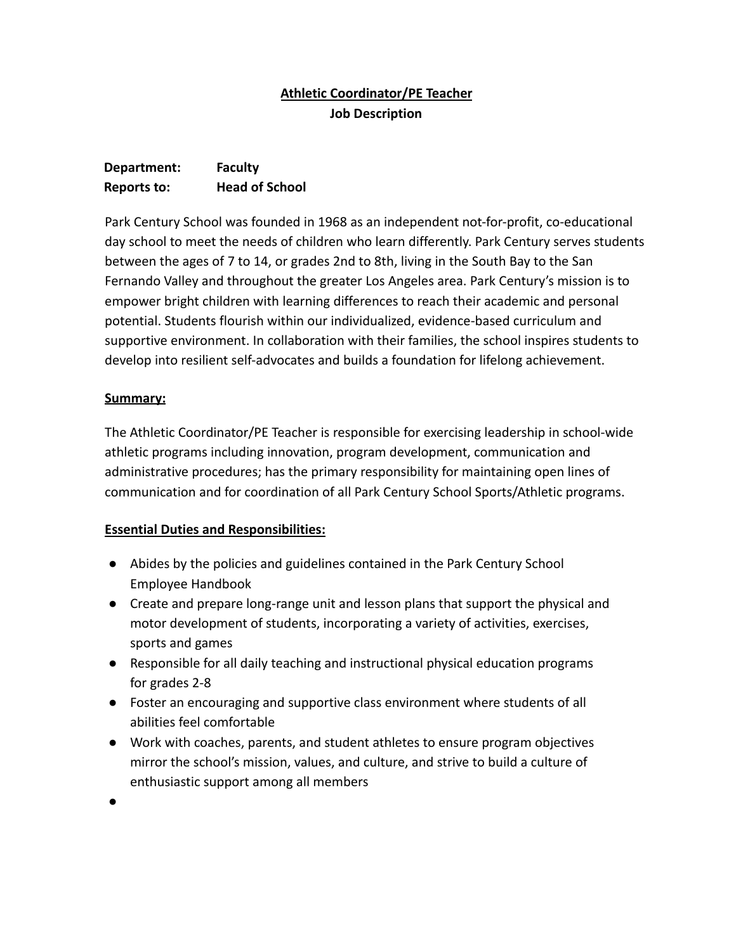## **Athletic Coordinator/PE Teacher Job Description**

# **Department: Faculty Reports to: Head of School**

Park Century School was founded in 1968 as an independent not-for-profit, co-educational day school to meet the needs of children who learn differently. Park Century serves students between the ages of 7 to 14, or grades 2nd to 8th, living in the South Bay to the San Fernando Valley and throughout the greater Los Angeles area. Park Century's mission is to empower bright children with learning differences to reach their academic and personal potential. Students flourish within our individualized, evidence-based curriculum and supportive environment. In collaboration with their families, the school inspires students to develop into resilient self-advocates and builds a foundation for lifelong achievement.

### **Summary:**

The Athletic Coordinator/PE Teacher is responsible for exercising leadership in school-wide athletic programs including innovation, program development, communication and administrative procedures; has the primary responsibility for maintaining open lines of communication and for coordination of all Park Century School Sports/Athletic programs.

#### **Essential Duties and Responsibilities:**

- Abides by the policies and guidelines contained in the Park Century School Employee Handbook
- Create and prepare long-range unit and lesson plans that support the physical and motor development of students, incorporating a variety of activities, exercises, sports and games
- Responsible for all daily teaching and instructional physical education programs for grades 2-8
- Foster an encouraging and supportive class environment where students of all abilities feel comfortable
- Work with coaches, parents, and student athletes to ensure program objectives mirror the school's mission, values, and culture, and strive to build a culture of enthusiastic support among all members

●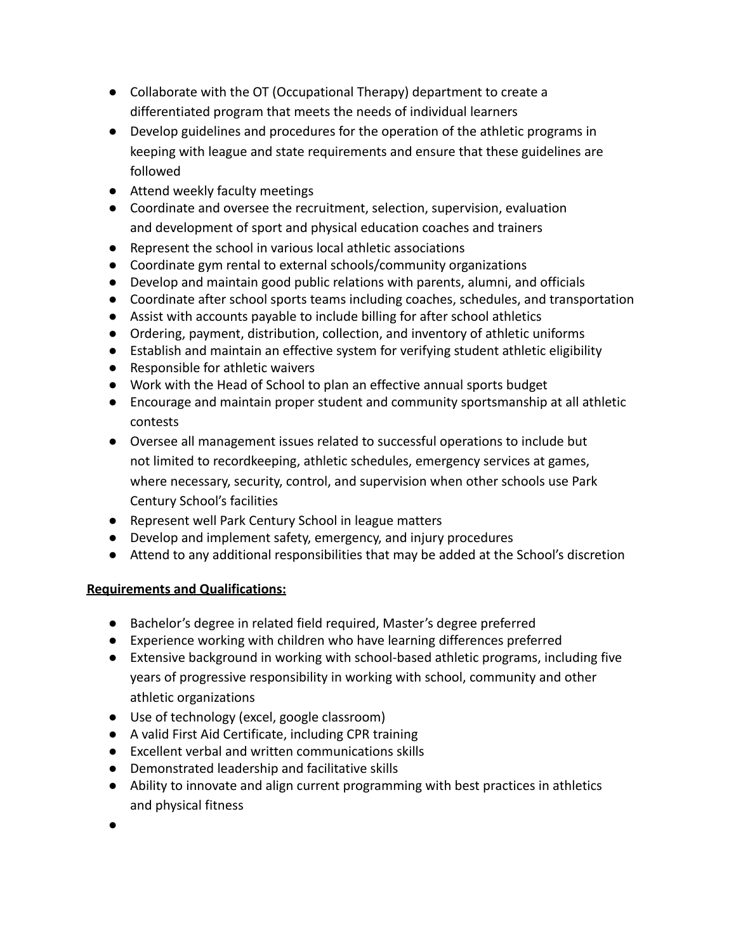- Collaborate with the OT (Occupational Therapy) department to create a differentiated program that meets the needs of individual learners
- Develop guidelines and procedures for the operation of the athletic programs in keeping with league and state requirements and ensure that these guidelines are followed
- Attend weekly faculty meetings
- Coordinate and oversee the recruitment, selection, supervision, evaluation and development of sport and physical education coaches and trainers
- Represent the school in various local athletic associations
- Coordinate gym rental to external schools/community organizations
- Develop and maintain good public relations with parents, alumni, and officials
- Coordinate after school sports teams including coaches, schedules, and transportation
- Assist with accounts payable to include billing for after school athletics
- Ordering, payment, distribution, collection, and inventory of athletic uniforms
- Establish and maintain an effective system for verifying student athletic eligibility
- Responsible for athletic waivers
- Work with the Head of School to plan an effective annual sports budget
- Encourage and maintain proper student and community sportsmanship at all athletic contests
- Oversee all management issues related to successful operations to include but not limited to recordkeeping, athletic schedules, emergency services at games, where necessary, security, control, and supervision when other schools use Park Century School's facilities
- Represent well Park Century School in league matters
- Develop and implement safety, emergency, and injury procedures
- Attend to any additional responsibilities that may be added at the School's discretion

#### **Requirements and Qualifications:**

- Bachelor's degree in related field required, Master's degree preferred
- Experience working with children who have learning differences preferred
- Extensive background in working with school-based athletic programs, including five years of progressive responsibility in working with school, community and other athletic organizations
- Use of technology (excel, google classroom)
- A valid First Aid Certificate, including CPR training
- Excellent verbal and written communications skills
- Demonstrated leadership and facilitative skills
- Ability to innovate and align current programming with best practices in athletics and physical fitness
- ●